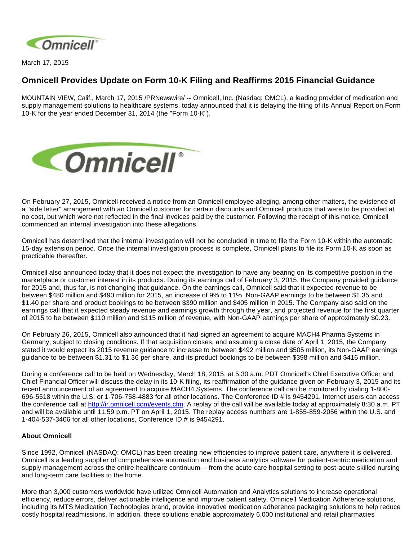

March 17, 2015

## **Omnicell Provides Update on Form 10-K Filing and Reaffirms 2015 Financial Guidance**

MOUNTAIN VIEW, Calif., March 17, 2015 /PRNewswire/ -- Omnicell, Inc. (Nasdaq: OMCL), a leading provider of medication and supply management solutions to healthcare systems, today announced that it is delaying the filing of its Annual Report on Form 10-K for the year ended December 31, 2014 (the "Form 10-K").



On February 27, 2015, Omnicell received a notice from an Omnicell employee alleging, among other matters, the existence of a "side letter" arrangement with an Omnicell customer for certain discounts and Omnicell products that were to be provided at no cost, but which were not reflected in the final invoices paid by the customer. Following the receipt of this notice, Omnicell commenced an internal investigation into these allegations.

Omnicell has determined that the internal investigation will not be concluded in time to file the Form 10-K within the automatic 15-day extension period. Once the internal investigation process is complete, Omnicell plans to file its Form 10-K as soon as practicable thereafter.

Omnicell also announced today that it does not expect the investigation to have any bearing on its competitive position in the marketplace or customer interest in its products. During its earnings call of February 3, 2015, the Company provided guidance for 2015 and, thus far, is not changing that guidance. On the earnings call, Omnicell said that it expected revenue to be between \$480 million and \$490 million for 2015, an increase of 9% to 11%, Non-GAAP earnings to be between \$1.35 and \$1.40 per share and product bookings to be between \$390 million and \$405 million in 2015. The Company also said on the earnings call that it expected steady revenue and earnings growth through the year, and projected revenue for the first quarter of 2015 to be between \$110 million and \$115 million of revenue, with Non-GAAP earnings per share of approximately \$0.23.

On February 26, 2015, Omnicell also announced that it had signed an agreement to acquire MACH4 Pharma Systems in Germany, subject to closing conditions. If that acquisition closes, and assuming a close date of April 1, 2015, the Company stated it would expect its 2015 revenue guidance to increase to between \$492 million and \$505 million, its Non-GAAP earnings guidance to be between \$1.31 to \$1.36 per share, and its product bookings to be between \$398 million and \$416 million.

During a conference call to be held on Wednesday, March 18, 2015, at 5:30 a.m. PDT Omnicell's Chief Executive Officer and Chief Financial Officer will discuss the delay in its 10-K filing, its reaffirmation of the guidance given on February 3, 2015 and its recent announcement of an agreement to acquire MACH4 Systems. The conference call can be monitored by dialing 1-800- 696-5518 within the U.S. or 1-706-758-4883 for all other locations. The Conference ID # is 9454291. Internet users can access the conference call at [http://ir.omnicell.com/events.cfm.](http://ir.omnicell.com/events.cfm) A replay of the call will be available today at approximately 8:30 a.m. PT and will be available until 11:59 p.m. PT on April 1, 2015. The replay access numbers are 1-855-859-2056 within the U.S. and 1-404-537-3406 for all other locations, Conference ID # is 9454291.

## **About Omnicell**

Since 1992, Omnicell (NASDAQ: OMCL) has been creating new efficiencies to improve patient care, anywhere it is delivered. Omnicell is a leading supplier of comprehensive automation and business analytics software for patient-centric medication and supply management across the entire healthcare continuum— from the acute care hospital setting to post-acute skilled nursing and long-term care facilities to the home.

More than 3,000 customers worldwide have utilized Omnicell Automation and Analytics solutions to increase operational efficiency, reduce errors, deliver actionable intelligence and improve patient safety. Omnicell Medication Adherence solutions, including its MTS Medication Technologies brand, provide innovative medication adherence packaging solutions to help reduce costly hospital readmissions. In addition, these solutions enable approximately 6,000 institutional and retail pharmacies